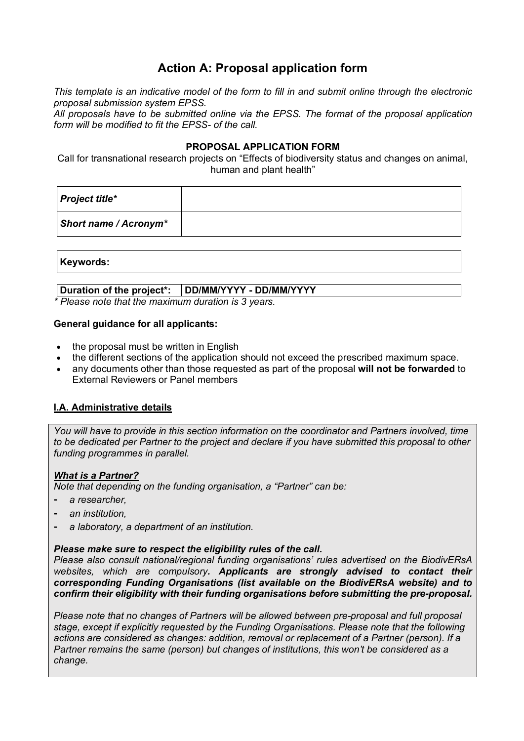# **Action A: Proposal application form**

*This template is an indicative model of the form to fill in and submit online through the electronic proposal submission system EPSS.*

*All proposals have to be submitted online via the EPSS. The format of the proposal application form will be modified to fit the EPSS- of the call.*

### **PROPOSAL APPLICATION FORM**

Call for transnational research projects on "Effects of biodiversity status and changes on animal, human and plant health"

| Project title*        |  |
|-----------------------|--|
| Short name / Acronym* |  |

#### **Keywords:**

# **Duration of the project\*: DD/MM/YYYY - DD/MM/YYYY**

*\* Please note that the maximum duration is 3 years.*

#### **General guidance for all applicants:**

- the proposal must be written in English
- the different sections of the application should not exceed the prescribed maximum space.
- any documents other than those requested as part of the proposal **will not be forwarded** to External Reviewers or Panel members

# **I.A. Administrative details**

*You will have to provide in this section information on the coordinator and Partners involved, time to be dedicated per Partner to the project and declare if you have submitted this proposal to other funding programmes in parallel.* 

# *What is a Partner?*

*Note that depending on the funding organisation, a "Partner" can be:*

- ⁃ *a researcher,*
- ⁃ *an institution,*
- ⁃ *a laboratory, a department of an institution.*

#### *Please make sure to respect the eligibility rules of the call.*

*Please also consult national/regional funding organisations' rules advertised on the BiodivERsA websites, which are compulsory. Applicants are strongly advised to contact their corresponding Funding Organisations (list available on the BiodivERsA website) and to confirm their eligibility with their funding organisations before submitting the pre-proposal.* 

*Please note that no changes of Partners will be allowed between pre-proposal and full proposal stage, except if explicitly requested by the Funding Organisations. Please note that the following actions are considered as changes: addition, removal or replacement of a Partner (person). If a Partner remains the same (person) but changes of institutions, this won't be considered as a change.*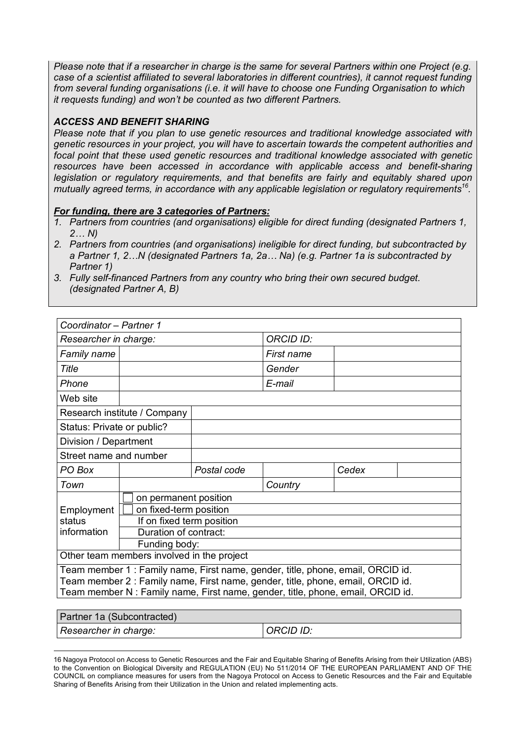*Please note that if a researcher in charge is the same for several Partners within one Project (e.g. case of a scientist affiliated to several laboratories in different countries), it cannot request funding from several funding organisations (i.e. it will have to choose one Funding Organisation to which it requests funding) and won't be counted as two different Partners.*

### *ACCESS AND BENEFIT SHARING*

 $\overline{a}$ 

*Please note that if you plan to use genetic resources and traditional knowledge associated with genetic resources in your project, you will have to ascertain towards the competent authorities and focal point that these used genetic resources and traditional knowledge associated with genetic*  resources have been accessed in accordance with applicable access and benefit-sharing *legislation or regulatory requirements, and that benefits are fairly and equitably shared upon mutually agreed terms, in accordance with any applicable legislation or regulatory requirements16.*

#### *For funding, there are 3 categories of Partners:*

- *1. Partners from countries (and organisations) eligible for direct funding (designated Partners 1, 2… N)*
- *2. Partners from countries (and organisations) ineligible for direct funding, but subcontracted by a Partner 1, 2…N (designated Partners 1a, 2a… Na) (e.g. Partner 1a is subcontracted by Partner 1)*

| 3. Fully self-financed Partners from any country who bring their own secured budget. |
|--------------------------------------------------------------------------------------|
| (designated Partner A, B)                                                            |

| Coordinator - Partner 1                                                         |                                            |             |                                                                                 |       |  |  |
|---------------------------------------------------------------------------------|--------------------------------------------|-------------|---------------------------------------------------------------------------------|-------|--|--|
| Researcher in charge:                                                           |                                            |             | <b>ORCID ID:</b>                                                                |       |  |  |
| Family name                                                                     |                                            |             | First name                                                                      |       |  |  |
| <b>Title</b>                                                                    |                                            |             | Gender                                                                          |       |  |  |
| Phone                                                                           |                                            |             | E-mail                                                                          |       |  |  |
| Web site                                                                        |                                            |             |                                                                                 |       |  |  |
|                                                                                 | Research institute / Company               |             |                                                                                 |       |  |  |
| Status: Private or public?                                                      |                                            |             |                                                                                 |       |  |  |
| Division / Department                                                           |                                            |             |                                                                                 |       |  |  |
| Street name and number                                                          |                                            |             |                                                                                 |       |  |  |
| PO Box                                                                          |                                            | Postal code |                                                                                 | Cedex |  |  |
| Town                                                                            |                                            |             | Country                                                                         |       |  |  |
|                                                                                 | on permanent position                      |             |                                                                                 |       |  |  |
| Employment                                                                      | on fixed-term position                     |             |                                                                                 |       |  |  |
| status                                                                          | If on fixed term position                  |             |                                                                                 |       |  |  |
| information                                                                     | Duration of contract:                      |             |                                                                                 |       |  |  |
|                                                                                 | Funding body:                              |             |                                                                                 |       |  |  |
|                                                                                 | Other team members involved in the project |             |                                                                                 |       |  |  |
| Team member 1 : Family name, First name, gender, title, phone, email, ORCID id. |                                            |             |                                                                                 |       |  |  |
| Team member 2 : Family name, First name, gender, title, phone, email, ORCID id. |                                            |             |                                                                                 |       |  |  |
|                                                                                 |                                            |             | Team member N : Family name, First name, gender, title, phone, email, ORCID id. |       |  |  |
|                                                                                 |                                            |             |                                                                                 |       |  |  |

| Partner 1a (Subcontracted) |                  |
|----------------------------|------------------|
| Researcher in charge:      | <b>ORCID ID:</b> |
|                            |                  |

<sup>16</sup> Nagoya Protocol on Access to Genetic Resources and the Fair and Equitable Sharing of Benefits Arising from their Utilization (ABS) to the Convention on Biological Diversity and REGULATION (EU) No 511/2014 OF THE EUROPEAN PARLIAMENT AND OF THE COUNCIL on compliance measures for users from the Nagoya Protocol on Access to Genetic Resources and the Fair and Equitable Sharing of Benefits Arising from their Utilization in the Union and related implementing acts.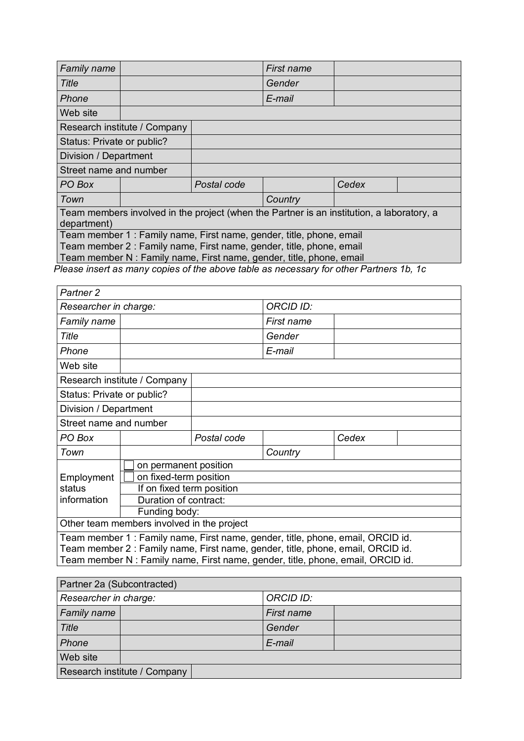| Family name                                                                                              |                              |             | First name                                                           |       |  |
|----------------------------------------------------------------------------------------------------------|------------------------------|-------------|----------------------------------------------------------------------|-------|--|
| Title                                                                                                    |                              |             | Gender                                                               |       |  |
| Phone                                                                                                    |                              |             | E-mail                                                               |       |  |
| Web site                                                                                                 |                              |             |                                                                      |       |  |
|                                                                                                          | Research institute / Company |             |                                                                      |       |  |
| Status: Private or public?                                                                               |                              |             |                                                                      |       |  |
| Division / Department                                                                                    |                              |             |                                                                      |       |  |
| Street name and number                                                                                   |                              |             |                                                                      |       |  |
| PO Box                                                                                                   |                              | Postal code |                                                                      | Cedex |  |
| Town                                                                                                     |                              |             | Country                                                              |       |  |
| Team members involved in the project (when the Partner is an institution, a laboratory, a<br>department) |                              |             |                                                                      |       |  |
| Team member 1: Family name, First name, gender, title, phone, email                                      |                              |             |                                                                      |       |  |
| Team member 2 : Family name, First name, gender, title, phone, email                                     |                              |             |                                                                      |       |  |
|                                                                                                          |                              |             | Team member N : Family name, First name, gender, title, phone, email |       |  |

*Please insert as many copies of the above table as necessary for other Partners 1b, 1c*

| Partner <sub>2</sub>                                                            |                                                                                                                                                                   |             |                  |       |  |
|---------------------------------------------------------------------------------|-------------------------------------------------------------------------------------------------------------------------------------------------------------------|-------------|------------------|-------|--|
| Researcher in charge:                                                           |                                                                                                                                                                   |             | <b>ORCID ID:</b> |       |  |
| Family name                                                                     |                                                                                                                                                                   |             | First name       |       |  |
| Title                                                                           |                                                                                                                                                                   |             | Gender           |       |  |
| Phone                                                                           |                                                                                                                                                                   |             | E-mail           |       |  |
| Web site                                                                        |                                                                                                                                                                   |             |                  |       |  |
|                                                                                 | Research institute / Company                                                                                                                                      |             |                  |       |  |
| Status: Private or public?                                                      |                                                                                                                                                                   |             |                  |       |  |
| Division / Department                                                           |                                                                                                                                                                   |             |                  |       |  |
| Street name and number                                                          |                                                                                                                                                                   |             |                  |       |  |
| PO Box                                                                          |                                                                                                                                                                   | Postal code |                  | Cedex |  |
| Town                                                                            |                                                                                                                                                                   |             | Country          |       |  |
|                                                                                 | on permanent position                                                                                                                                             |             |                  |       |  |
| Employment                                                                      | on fixed-term position                                                                                                                                            |             |                  |       |  |
| status                                                                          | If on fixed term position                                                                                                                                         |             |                  |       |  |
| information                                                                     | Duration of contract:                                                                                                                                             |             |                  |       |  |
|                                                                                 | Funding body:                                                                                                                                                     |             |                  |       |  |
|                                                                                 | Other team members involved in the project                                                                                                                        |             |                  |       |  |
|                                                                                 |                                                                                                                                                                   |             |                  |       |  |
|                                                                                 | Team member 1: Family name, First name, gender, title, phone, email, ORCID id.<br>Team member 2 : Family name, First name, gender, title, phone, email, ORCID id. |             |                  |       |  |
| Team member N : Family name, First name, gender, title, phone, email, ORCID id. |                                                                                                                                                                   |             |                  |       |  |

| Partner 2a (Subcontracted)   |  |                  |  |  |  |  |
|------------------------------|--|------------------|--|--|--|--|
| Researcher in charge:        |  | <b>ORCID ID:</b> |  |  |  |  |
| <b>Family name</b>           |  | First name       |  |  |  |  |
| Title                        |  | Gender           |  |  |  |  |
| Phone                        |  | E-mail           |  |  |  |  |
| Web site                     |  |                  |  |  |  |  |
| Research institute / Company |  |                  |  |  |  |  |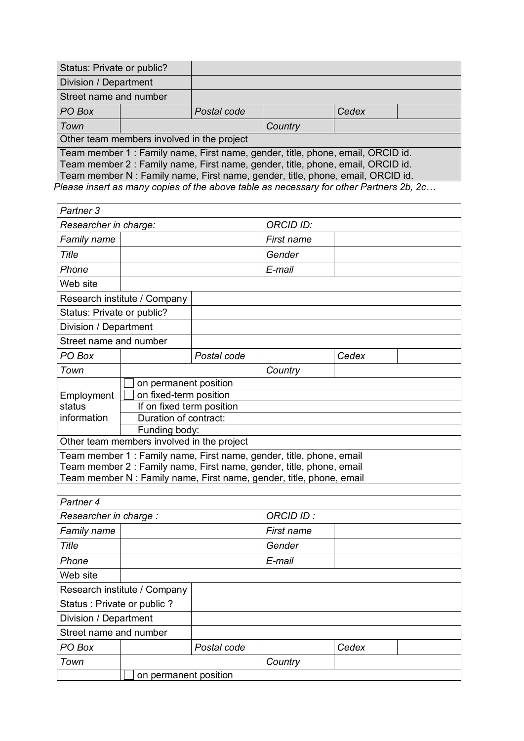| Status: Private or public?                                                      |                                                                                 |             |  |       |  |
|---------------------------------------------------------------------------------|---------------------------------------------------------------------------------|-------------|--|-------|--|
| Division / Department                                                           |                                                                                 |             |  |       |  |
| Street name and number                                                          |                                                                                 |             |  |       |  |
| PO Box                                                                          |                                                                                 | Postal code |  | Cedex |  |
| Town                                                                            |                                                                                 | Country     |  |       |  |
|                                                                                 | Other team members involved in the project                                      |             |  |       |  |
|                                                                                 | Team member 1: Family name, First name, gender, title, phone, email, ORCID id.  |             |  |       |  |
| Team member 2 : Family name, First name, gender, title, phone, email, ORCID id. |                                                                                 |             |  |       |  |
|                                                                                 | Team member N : Family name, First name, gender, title, phone, email, ORCID id. |             |  |       |  |

*Please insert as many copies of the above table as necessary for other Partners 2b, 2c…* 

| Partner <sub>3</sub>       |                                                                      |             |            |       |  |
|----------------------------|----------------------------------------------------------------------|-------------|------------|-------|--|
| Researcher in charge:      |                                                                      |             | ORCID ID:  |       |  |
| Family name                |                                                                      |             | First name |       |  |
| <b>Title</b>               |                                                                      |             | Gender     |       |  |
| Phone                      |                                                                      |             | E-mail     |       |  |
| Web site                   |                                                                      |             |            |       |  |
|                            | Research institute / Company                                         |             |            |       |  |
| Status: Private or public? |                                                                      |             |            |       |  |
| Division / Department      |                                                                      |             |            |       |  |
| Street name and number     |                                                                      |             |            |       |  |
| PO Box                     |                                                                      | Postal code |            | Cedex |  |
| Town                       |                                                                      |             | Country    |       |  |
|                            | on permanent position                                                |             |            |       |  |
| Employment                 | on fixed-term position                                               |             |            |       |  |
| status                     | If on fixed term position                                            |             |            |       |  |
| information                | Duration of contract:                                                |             |            |       |  |
|                            | Funding body:                                                        |             |            |       |  |
|                            | Other team members involved in the project                           |             |            |       |  |
|                            | Team member 1 : Family name, First name, gender, title, phone, email |             |            |       |  |
|                            | Team member 2 : Family name, First name, gender, title, phone, email |             |            |       |  |
|                            | Team member N : Family name, First name, gender, title, phone, email |             |            |       |  |

| Partner 4                  |                              |             |            |       |  |  |
|----------------------------|------------------------------|-------------|------------|-------|--|--|
| Researcher in charge :     |                              |             | ORCID ID:  |       |  |  |
| Family name                |                              |             | First name |       |  |  |
| Title                      |                              |             | Gender     |       |  |  |
| Phone                      |                              |             | E-mail     |       |  |  |
| Web site                   |                              |             |            |       |  |  |
|                            | Research institute / Company |             |            |       |  |  |
| Status: Private or public? |                              |             |            |       |  |  |
| Division / Department      |                              |             |            |       |  |  |
| Street name and number     |                              |             |            |       |  |  |
| PO Box                     |                              | Postal code |            | Cedex |  |  |
| Town                       |                              |             | Country    |       |  |  |
|                            | on permanent position        |             |            |       |  |  |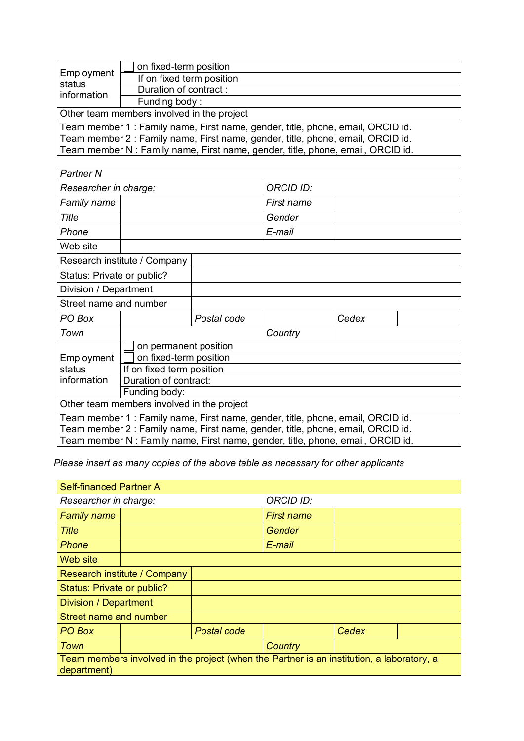| Employment<br>status<br>information                                             | on fixed-term position                                                          |  |  |  |
|---------------------------------------------------------------------------------|---------------------------------------------------------------------------------|--|--|--|
|                                                                                 | If on fixed term position                                                       |  |  |  |
|                                                                                 | Duration of contract:                                                           |  |  |  |
|                                                                                 | Funding body:                                                                   |  |  |  |
| Other team members involved in the project                                      |                                                                                 |  |  |  |
|                                                                                 | Team member 1: Family name, First name, gender, title, phone, email, ORCID id.  |  |  |  |
| Team member 2 : Family name, First name, gender, title, phone, email, ORCID id. |                                                                                 |  |  |  |
|                                                                                 | Team member N : Family name, First name, gender, title, phone, email, ORCID id. |  |  |  |

| Partner N                  |                                            |             |                                                                                 |       |  |
|----------------------------|--------------------------------------------|-------------|---------------------------------------------------------------------------------|-------|--|
| Researcher in charge:      |                                            |             | <b>ORCID ID:</b>                                                                |       |  |
| Family name                |                                            |             | First name                                                                      |       |  |
| Title                      |                                            |             | Gender                                                                          |       |  |
| Phone                      |                                            |             | E-mail                                                                          |       |  |
| Web site                   |                                            |             |                                                                                 |       |  |
|                            | Research institute / Company               |             |                                                                                 |       |  |
| Status: Private or public? |                                            |             |                                                                                 |       |  |
| Division / Department      |                                            |             |                                                                                 |       |  |
| Street name and number     |                                            |             |                                                                                 |       |  |
| PO Box                     |                                            | Postal code |                                                                                 | Cedex |  |
| Town                       |                                            |             | Country                                                                         |       |  |
|                            | on permanent position                      |             |                                                                                 |       |  |
| Employment                 | on fixed-term position                     |             |                                                                                 |       |  |
| status                     | If on fixed term position                  |             |                                                                                 |       |  |
| information                | Duration of contract:                      |             |                                                                                 |       |  |
|                            | Funding body:                              |             |                                                                                 |       |  |
|                            | Other team members involved in the project |             |                                                                                 |       |  |
|                            |                                            |             | Team member 1: Family name, First name, gender, title, phone, email, ORCID id.  |       |  |
|                            |                                            |             | Team member 2 : Family name, First name, gender, title, phone, email, ORCID id. |       |  |
|                            |                                            |             | Team member N : Family name, First name, gender, title, phone, email, ORCID id. |       |  |

*Please insert as many copies of the above table as necessary for other applicants*

| <b>Self-financed Partner A</b>                                                                           |  |                  |                   |       |  |
|----------------------------------------------------------------------------------------------------------|--|------------------|-------------------|-------|--|
| Researcher in charge:                                                                                    |  | <b>ORCID ID:</b> |                   |       |  |
| <b>Family name</b>                                                                                       |  |                  | <b>First name</b> |       |  |
| <b>Title</b>                                                                                             |  |                  | Gender            |       |  |
| Phone                                                                                                    |  |                  | E-mail            |       |  |
| Web site                                                                                                 |  |                  |                   |       |  |
| Research institute / Company                                                                             |  |                  |                   |       |  |
| Status: Private or public?                                                                               |  |                  |                   |       |  |
| <b>Division / Department</b>                                                                             |  |                  |                   |       |  |
| Street name and number                                                                                   |  |                  |                   |       |  |
| PO Box                                                                                                   |  | Postal code      |                   | Cedex |  |
| Town                                                                                                     |  |                  | Country           |       |  |
| Team members involved in the project (when the Partner is an institution, a laboratory, a<br>department) |  |                  |                   |       |  |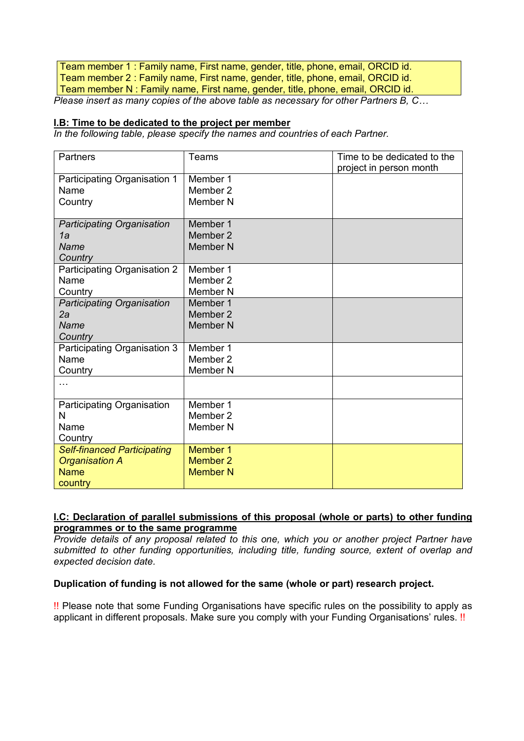Team member 1 : Family name, First name, gender, title, phone, email, ORCID id. Team member 2 : Family name, First name, gender, title, phone, email, ORCID id. Team member N : Family name, First name, gender, title, phone, email, ORCID id. *Please insert as many copies of the above table as necessary for other Partners B, C…* 

#### **I.B: Time to be dedicated to the project per member**

*In the following table, please specify the names and countries of each Partner.* 

| Partners                           | Teams               | Time to be dedicated to the<br>project in person month |
|------------------------------------|---------------------|--------------------------------------------------------|
| Participating Organisation 1       | Member 1            |                                                        |
| Name                               | Member 2            |                                                        |
| Country                            | Member <sub>N</sub> |                                                        |
| <b>Participating Organisation</b>  | Member 1            |                                                        |
| 1a                                 | Member 2            |                                                        |
| Name                               | Member <sub>N</sub> |                                                        |
| Country                            |                     |                                                        |
| Participating Organisation 2       | Member 1            |                                                        |
| Name                               | Member 2            |                                                        |
| Country                            | Member <sub>N</sub> |                                                        |
| <b>Participating Organisation</b>  | Member 1            |                                                        |
| 2a                                 | Member 2            |                                                        |
| Name                               | <b>Member N</b>     |                                                        |
| Country                            |                     |                                                        |
| Participating Organisation 3       | Member 1            |                                                        |
| Name                               | Member 2            |                                                        |
| Country                            | Member <sub>N</sub> |                                                        |
|                                    |                     |                                                        |
| Participating Organisation         | Member 1            |                                                        |
| N                                  | Member 2            |                                                        |
| Name                               | Member <sub>N</sub> |                                                        |
| Country                            |                     |                                                        |
| <b>Self-financed Participating</b> | Member 1            |                                                        |
| <b>Organisation A</b>              | Member 2            |                                                        |
| <b>Name</b>                        | <b>Member N</b>     |                                                        |
| country                            |                     |                                                        |

# **I.C: Declaration of parallel submissions of this proposal (whole or parts) to other funding programmes or to the same programme**

*Provide details of any proposal related to this one, which you or another project Partner have submitted to other funding opportunities, including title, funding source, extent of overlap and expected decision date.* 

# **Duplication of funding is not allowed for the same (whole or part) research project.**

!! Please note that some Funding Organisations have specific rules on the possibility to apply as applicant in different proposals. Make sure you comply with your Funding Organisations' rules. !!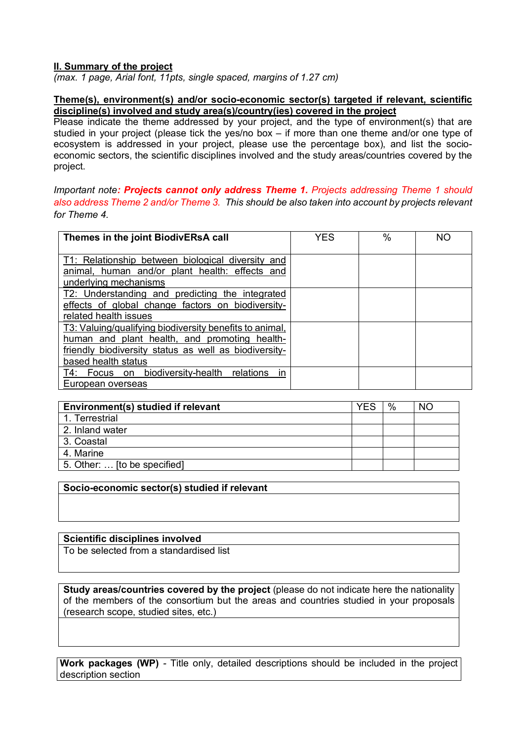# **II. Summary of the project**

*(max. 1 page, Arial font, 11pts, single spaced, margins of 1.27 cm)*

#### **Theme(s), environment(s) and/or socio-economic sector(s) targeted if relevant, scientific discipline(s) involved and study area(s)/country(ies) covered in the project**

Please indicate the theme addressed by your project, and the type of environment(s) that are studied in your project (please tick the yes/no box – if more than one theme and/or one type of ecosystem is addressed in your project, please use the percentage box), and list the socioeconomic sectors, the scientific disciplines involved and the study areas/countries covered by the project.

### *Important note: Projects cannot only address Theme 1. Projects addressing Theme 1 should also address Theme 2 and/or Theme 3. This should be also taken into account by projects relevant for Theme 4.*

| Themes in the joint BiodivERsA call                                                                                                                                                      | <b>YES</b> | $\%$ | <b>NO</b> |
|------------------------------------------------------------------------------------------------------------------------------------------------------------------------------------------|------------|------|-----------|
| T1: Relationship between biological diversity and<br>animal, human and/or plant health: effects and<br>underlying mechanisms                                                             |            |      |           |
| T2: Understanding and predicting the integrated<br>effects of global change factors on biodiversity-<br>related health issues                                                            |            |      |           |
| T3: Valuing/qualifying biodiversity benefits to animal,<br>human and plant health, and promoting health-<br>friendly biodiversity status as well as biodiversity-<br>based health status |            |      |           |
| T4: Focus on biodiversity-health<br>relations<br>in<br>European overseas                                                                                                                 |            |      |           |

| Environment(s) studied if relevant | YES | $\frac{0}{0}$ | NO. |
|------------------------------------|-----|---------------|-----|
| 1. Terrestrial                     |     |               |     |
| 2. Inland water                    |     |               |     |
| 3. Coastal                         |     |               |     |
| 4. Marine                          |     |               |     |
| 5. Other:  [to be specified]       |     |               |     |

# **Socio-economic sector(s) studied if relevant**

#### **Scientific disciplines involved**

To be selected from a standardised list

**Study areas/countries covered by the project** (please do not indicate here the nationality of the members of the consortium but the areas and countries studied in your proposals (research scope, studied sites, etc.)

**Work packages (WP)** *-* Title only, detailed descriptions should be included in the project description section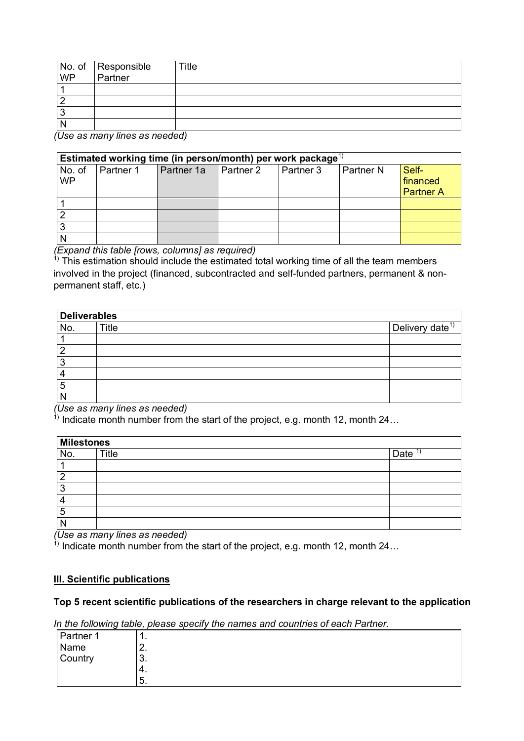| No. of Responsible<br>WP Partner | Title |
|----------------------------------|-------|
|                                  |       |
|                                  |       |
|                                  |       |
|                                  |       |

*(Use as many lines as needed)* 

|                     | Estimated working time (in person/month) per work package <sup>1)</sup> |            |           |           |             |                                       |
|---------------------|-------------------------------------------------------------------------|------------|-----------|-----------|-------------|---------------------------------------|
| No. of<br><b>WP</b> | Partner 1                                                               | Partner 1a | Partner 2 | Partner 3 | l Partner N | Self-<br>financed<br><b>Partner A</b> |
|                     |                                                                         |            |           |           |             |                                       |
|                     |                                                                         |            |           |           |             |                                       |
|                     |                                                                         |            |           |           |             |                                       |
|                     |                                                                         |            |           |           |             |                                       |

*(Expand this table [rows, columns] as required)*

 $1)$  This estimation should include the estimated total working time of all the team members involved in the project (financed, subcontracted and self-funded partners, permanent & nonpermanent staff, etc.)

| <b>Deliverables</b> |              |                             |
|---------------------|--------------|-----------------------------|
| No.                 | <b>Title</b> | Delivery date <sup>1)</sup> |
|                     |              |                             |
|                     |              |                             |
| v.                  |              |                             |
|                     |              |                             |
| 5                   |              |                             |
|                     |              |                             |

*(Use as many lines as needed)*

<sup>1)</sup> Indicate month number from the start of the project, e.g. month 12, month 24...

|     | Milestones |      |  |
|-----|------------|------|--|
| No. | Title      | Date |  |
|     |            |      |  |
|     |            |      |  |
|     |            |      |  |
|     |            |      |  |
| э   |            |      |  |
|     |            |      |  |

*(Use as many lines as needed)*

 $\frac{1}{1}$  Indicate month number from the start of the project, e.g. month 12, month 24...

#### **III. Scientific publications**

#### **Top 5 recent scientific publications of the researchers in charge relevant to the application**

In the following table, please specify the names and countries of each Partner.

| Partner 1       | . .      |  |
|-----------------|----------|--|
| Name<br>Country | <u>.</u> |  |
|                 | ⌒<br>ა.  |  |
|                 | 4.       |  |
|                 | 5.       |  |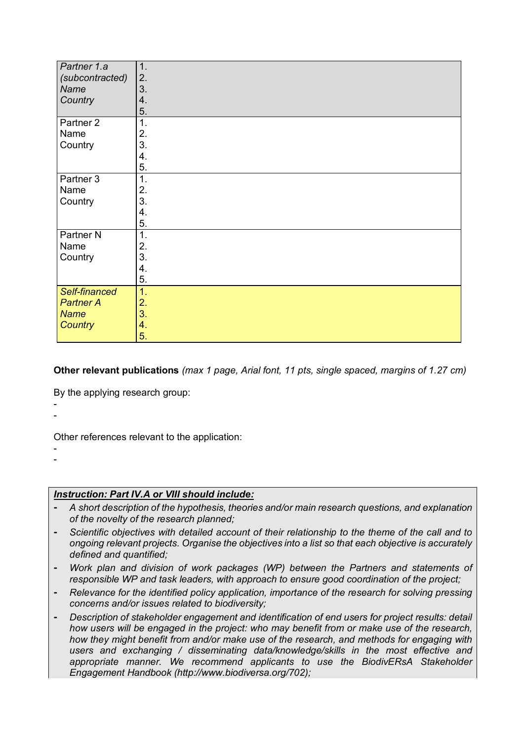| Partner 1.a          | 1.             |
|----------------------|----------------|
| (subcontracted)      | 2.             |
| Name                 | 3.             |
| Country              | 4.             |
|                      | 5.             |
| Partner <sub>2</sub> | $\mathbf{1}$ . |
| Name                 | 2.             |
| Country              | 3.             |
|                      | 4.             |
|                      | 5.             |
| Partner <sub>3</sub> | 1.             |
| Name                 | 2.             |
| Country              | 3.             |
|                      | 4.             |
|                      | 5.             |
| Partner <sub>N</sub> | 1.             |
| Name                 | 2.             |
| Country              | 3.             |
|                      | 4.             |
|                      | 5.             |
| Self-financed        | 1.             |
| <b>Partner A</b>     | 2.             |
| <b>Name</b>          | 3.             |
| <b>Country</b>       | 4.             |
|                      | 5.             |

**Other relevant publications** *(max 1 page, Arial font, 11 pts, single spaced, margins of 1.27 cm)*

By the applying research group:

- -

Other references relevant to the application:

- -

# *Instruction: Part IV.A or VIII should include:*

- ⁃ *A short description of the hypothesis, theories and/or main research questions, and explanation of the novelty of the research planned;*
- Scientific objectives with detailed account of their relationship to the theme of the call and to *ongoing relevant projects. Organise the objectives into a list so that each objective is accurately defined and quantified;*
- Work plan and division of work packages (WP) between the Partners and statements of *responsible WP and task leaders, with approach to ensure good coordination of the project;*
- ⁃ *Relevance for the identified policy application, importance of the research for solving pressing concerns and/or issues related to biodiversity;*
- ⁃ *Description of stakeholder engagement and identification of end users for project results: detail how users will be engaged in the project: who may benefit from or make use of the research, how they might benefit from and/or make use of the research, and methods for engaging with users and exchanging / disseminating data/knowledge/skills in the most effective and appropriate manner. We recommend applicants to use the BiodivERsA Stakeholder Engagement Handbook (http://www.biodiversa.org/702);*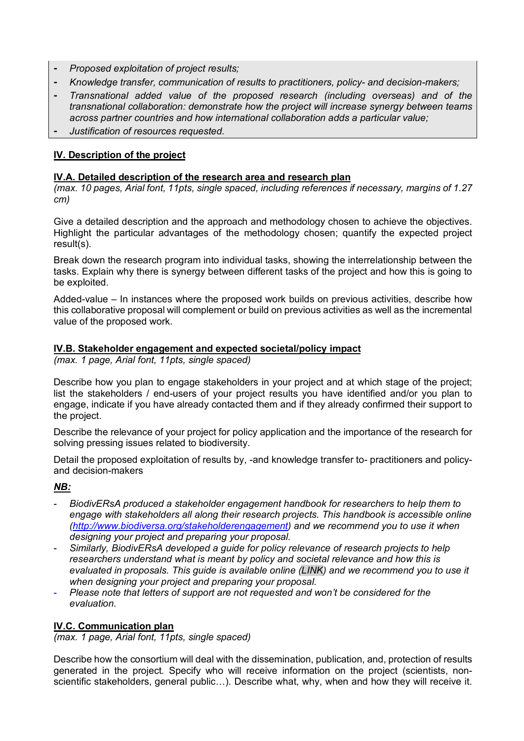- ⁃ *Proposed exploitation of project results;*
- ⁃ *Knowledge transfer, communication of results to practitioners, policy- and decision-makers;*
- ⁃ *Transnational added value of the proposed research (including overseas) and of the transnational collaboration: demonstrate how the project will increase synergy between teams across partner countries and how international collaboration adds a particular value;*
- ⁃ *Justification of resources requested.*

# **IV. Description of the project**

### **IV.A. Detailed description of the research area and research plan**

*(max. 10 pages, Arial font, 11pts, single spaced, including references if necessary, margins of 1.27 cm)*

Give a detailed description and the approach and methodology chosen to achieve the objectives. Highlight the particular advantages of the methodology chosen; quantify the expected project result(s).

Break down the research program into individual tasks, showing the interrelationship between the tasks. Explain why there is synergy between different tasks of the project and how this is going to be exploited.

Added-value – In instances where the proposed work builds on previous activities, describe how this collaborative proposal will complement or build on previous activities as well as the incremental value of the proposed work.

#### **IV.B. Stakeholder engagement and expected societal/policy impact**

*(max. 1 page, Arial font, 11pts, single spaced)*

Describe how you plan to engage stakeholders in your project and at which stage of the project; list the stakeholders / end-users of your project results you have identified and/or you plan to engage, indicate if you have already contacted them and if they already confirmed their support to the project.

Describe the relevance of your project for policy application and the importance of the research for solving pressing issues related to biodiversity.

Detail the proposed exploitation of results by, -and knowledge transfer to- practitioners and policyand decision-makers

# *NB:*

- *BiodivERsA produced a stakeholder engagement handbook for researchers to help them to engage with stakeholders all along their research projects. This handbook is accessible online (http://www.biodiversa.org/stakeholderengagement) and we recommend you to use it when designing your project and preparing your proposal.*
- *Similarly, BiodivERsA developed a guide for policy relevance of research projects to help researchers understand what is meant by policy and societal relevance and how this is evaluated in proposals. This guide is available online (LINK) and we recommend you to use it when designing your project and preparing your proposal.*
- *Please note that letters of support are not requested and won't be considered for the evaluation.*

# **IV.C. Communication plan**

*(max. 1 page, Arial font, 11pts, single spaced)*

Describe how the consortium will deal with the dissemination, publication, and, protection of results generated in the project*.* Specify who will receive information on the project (scientists, nonscientific stakeholders, general public…). Describe what, why, when and how they will receive it.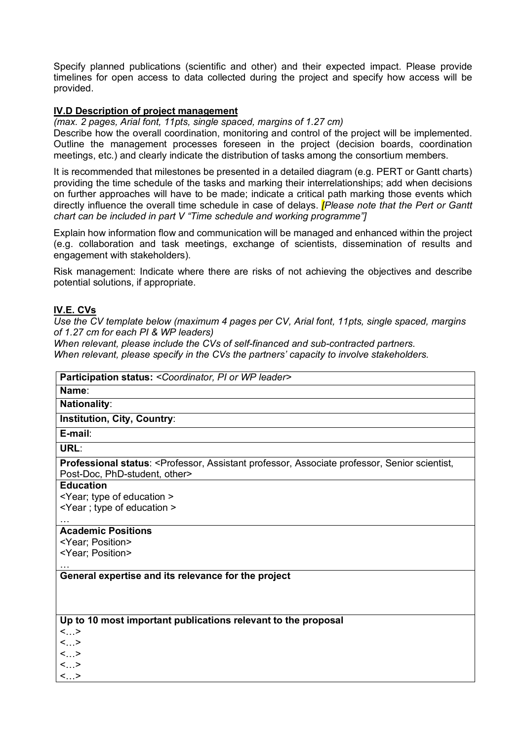Specify planned publications (scientific and other) and their expected impact. Please provide timelines for open access to data collected during the project and specify how access will be provided.

#### **IV.D Description of project management**

*(max. 2 pages, Arial font, 11pts, single spaced, margins of 1.27 cm)*

Describe how the overall coordination, monitoring and control of the project will be implemented. Outline the management processes foreseen in the project (decision boards, coordination meetings, etc.) and clearly indicate the distribution of tasks among the consortium members.

It is recommended that milestones be presented in a detailed diagram (e.g. PERT or Gantt charts) providing the time schedule of the tasks and marking their interrelationships; add when decisions on further approaches will have to be made; indicate a critical path marking those events which directly influence the overall time schedule in case of delays. *[Please note that the Pert or Gantt chart can be included in part V "Time schedule and working programme"]*

Explain how information flow and communication will be managed and enhanced within the project (e.g. collaboration and task meetings, exchange of scientists, dissemination of results and engagement with stakeholders).

Risk management: Indicate where there are risks of not achieving the objectives and describe potential solutions, if appropriate.

#### **IV.E. CVs**

*Use the CV template below (maximum 4 pages per CV, Arial font, 11pts, single spaced, margins of 1.27 cm for each PI & WP leaders)*

*When relevant, please include the CVs of self-financed and sub-contracted partners.*

**Participation status:** *<Coordinator, PI or WP leader>*

*When relevant, please specify in the CVs the partners' capacity to involve stakeholders.*

| Name:                                                                                                                                             |
|---------------------------------------------------------------------------------------------------------------------------------------------------|
| <b>Nationality:</b>                                                                                                                               |
| <b>Institution, City, Country:</b>                                                                                                                |
| E-mail:                                                                                                                                           |
| URL:                                                                                                                                              |
| Professional status: <professor, assistant="" associate="" professor,="" scientist,<br="" senior="">Post-Doc, PhD-student, other&gt;</professor,> |
| <b>Education</b>                                                                                                                                  |
| <year; education="" of="" type=""></year;>                                                                                                        |
| <year; education="" of="" type=""></year;>                                                                                                        |
| <b>Academic Positions</b>                                                                                                                         |
| <year; position=""></year;>                                                                                                                       |
| <year; position=""></year;>                                                                                                                       |
| General expertise and its relevance for the project                                                                                               |
| Up to 10 most important publications relevant to the proposal                                                                                     |
| <>                                                                                                                                                |
| $<$ >                                                                                                                                             |
| <>                                                                                                                                                |
| <>                                                                                                                                                |
| $\langle \ldots \rangle$                                                                                                                          |
|                                                                                                                                                   |